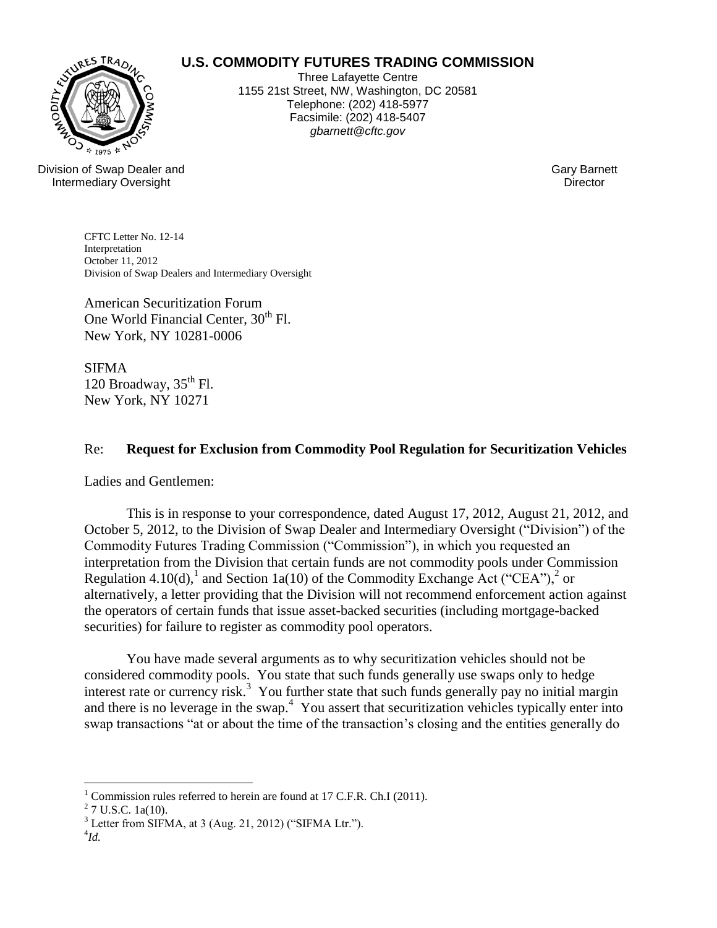# **IRES TRAD**

# **U.S. COMMODITY FUTURES TRADING COMMISSION**

Three Lafayette Centre 1155 21st Street, NW, Washington, DC 20581 Telephone: (202) 418-5977 Facsimile: (202) 418-5407 *gbarnett@cftc.gov*

Division of Swap Dealer and Intermediary Oversight

Gary Barnett **Director** 

CFTC Letter No. 12-14 Interpretation October 11, 2012 Division of Swap Dealers and Intermediary Oversight

American Securitization Forum One World Financial Center, 30<sup>th</sup> Fl. New York, NY 10281-0006

SIFMA 120 Broadway,  $35<sup>th</sup>$  Fl. New York, NY 10271

## Re: **Request for Exclusion from Commodity Pool Regulation for Securitization Vehicles**

Ladies and Gentlemen:

This is in response to your correspondence, dated August 17, 2012, August 21, 2012, and October 5, 2012, to the Division of Swap Dealer and Intermediary Oversight ("Division") of the Commodity Futures Trading Commission ("Commission"), in which you requested an interpretation from the Division that certain funds are not commodity pools under Commission Regulation 4.10(d),<sup>1</sup> and Section 1a(10) of the Commodity Exchange Act ("CEA"),<sup>2</sup> or alternatively, a letter providing that the Division will not recommend enforcement action against the operators of certain funds that issue asset-backed securities (including mortgage-backed securities) for failure to register as commodity pool operators.

You have made several arguments as to why securitization vehicles should not be considered commodity pools. You state that such funds generally use swaps only to hedge interest rate or currency risk.<sup>3</sup> You further state that such funds generally pay no initial margin and there is no leverage in the swap.<sup>4</sup> You assert that securitization vehicles typically enter into swap transactions "at or about the time of the transaction's closing and the entities generally do

 $\overline{a}$ 

<sup>&</sup>lt;sup>1</sup> Commission rules referred to herein are found at 17 C.F.R. Ch.I (2011).

 $2$  7 U.S.C. 1a(10).

 $3$  Letter from SIFMA, at 3 (Aug. 21, 2012) ("SIFMA Ltr.").

<sup>4</sup> *Id.*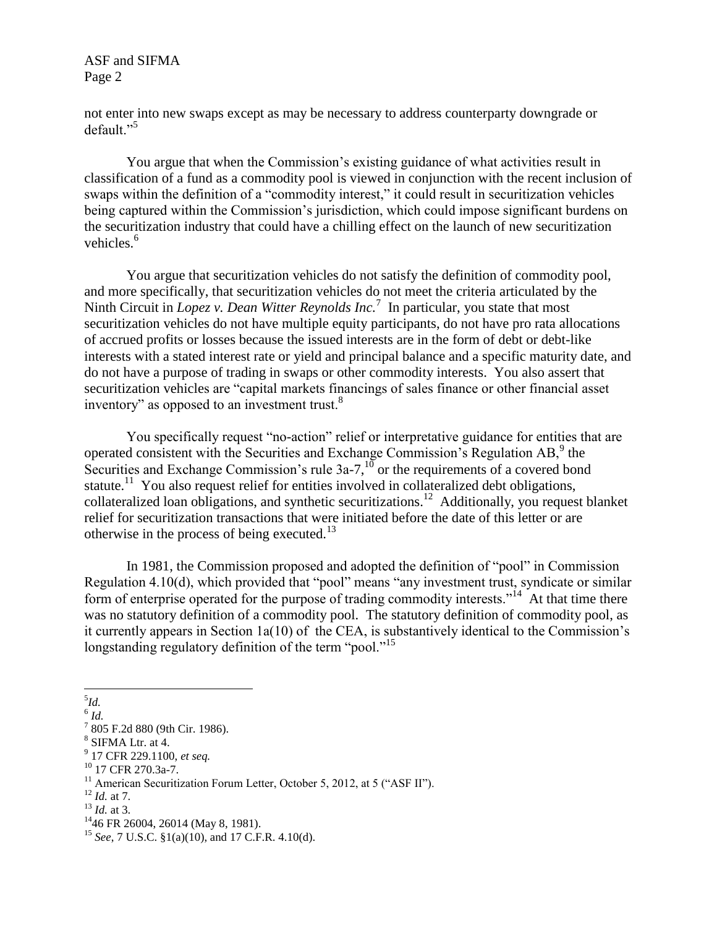not enter into new swaps except as may be necessary to address counterparty downgrade or default."<sup>5</sup>

You argue that when the Commission's existing guidance of what activities result in classification of a fund as a commodity pool is viewed in conjunction with the recent inclusion of swaps within the definition of a "commodity interest," it could result in securitization vehicles being captured within the Commission's jurisdiction, which could impose significant burdens on the securitization industry that could have a chilling effect on the launch of new securitization vehicles.<sup>6</sup>

You argue that securitization vehicles do not satisfy the definition of commodity pool, and more specifically, that securitization vehicles do not meet the criteria articulated by the Ninth Circuit in *Lopez v. Dean Witter Reynolds Inc.*<sup>7</sup> In particular, you state that most securitization vehicles do not have multiple equity participants, do not have pro rata allocations of accrued profits or losses because the issued interests are in the form of debt or debt-like interests with a stated interest rate or yield and principal balance and a specific maturity date, and do not have a purpose of trading in swaps or other commodity interests. You also assert that securitization vehicles are "capital markets financings of sales finance or other financial asset inventory" as opposed to an investment trust.<sup>8</sup>

You specifically request "no-action" relief or interpretative guidance for entities that are operated consistent with the Securities and Exchange Commission's Regulation  $AB$ , the Securities and Exchange Commission's rule  $3a-7$ ,<sup>10</sup> or the requirements of a covered bond statute.<sup>11</sup> You also request relief for entities involved in collateralized debt obligations, collateralized loan obligations, and synthetic securitizations.<sup>12</sup> Additionally, you request blanket relief for securitization transactions that were initiated before the date of this letter or are otherwise in the process of being executed.<sup>13</sup>

In 1981, the Commission proposed and adopted the definition of "pool" in Commission Regulation 4.10(d), which provided that "pool" means "any investment trust, syndicate or similar form of enterprise operated for the purpose of trading commodity interests."<sup>14</sup> At that time there was no statutory definition of a commodity pool. The statutory definition of commodity pool, as it currently appears in Section 1a(10) of the CEA, is substantively identical to the Commission's longstanding regulatory definition of the term "pool."<sup>15</sup>

 $\overline{a}$ 5 *Id.*

<sup>6</sup> *Id.* 

<sup>7</sup> 805 F.2d 880 (9th Cir. 1986).

<sup>8</sup> SIFMA Ltr. at 4.

<sup>9</sup> 17 CFR 229.1100, *et seq.*

<sup>10</sup> 17 CFR 270.3a-7.

<sup>&</sup>lt;sup>11</sup> American Securitization Forum Letter, October 5, 2012, at 5 ("ASF II").

<sup>12</sup> *Id.* at 7.

<sup>13</sup> *Id.* at 3.

<sup>&</sup>lt;sup>14</sup>46 FR 26004, 26014 (May 8, 1981).

<sup>15</sup> *See*, 7 U.S.C. §1(a)(10), and 17 C.F.R. 4.10(d).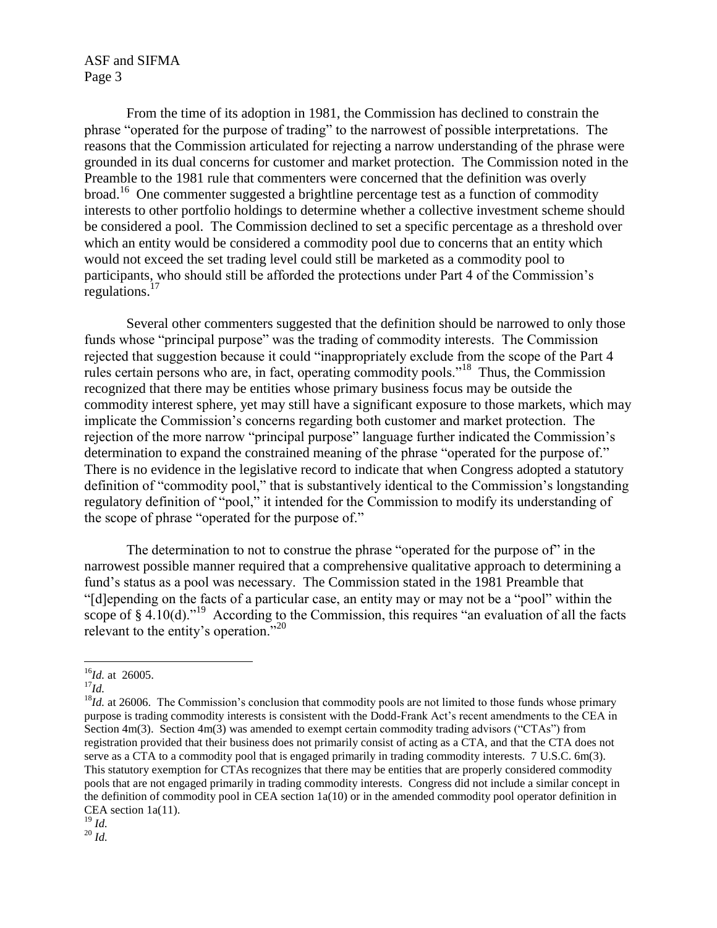From the time of its adoption in 1981, the Commission has declined to constrain the phrase "operated for the purpose of trading" to the narrowest of possible interpretations. The reasons that the Commission articulated for rejecting a narrow understanding of the phrase were grounded in its dual concerns for customer and market protection. The Commission noted in the Preamble to the 1981 rule that commenters were concerned that the definition was overly broad.<sup>16</sup> One commenter suggested a brightline percentage test as a function of commodity interests to other portfolio holdings to determine whether a collective investment scheme should be considered a pool. The Commission declined to set a specific percentage as a threshold over which an entity would be considered a commodity pool due to concerns that an entity which would not exceed the set trading level could still be marketed as a commodity pool to participants, who should still be afforded the protections under Part 4 of the Commission's regulations.<sup>17</sup>

Several other commenters suggested that the definition should be narrowed to only those funds whose "principal purpose" was the trading of commodity interests. The Commission rejected that suggestion because it could "inappropriately exclude from the scope of the Part 4 rules certain persons who are, in fact, operating commodity pools."<sup>18</sup> Thus, the Commission recognized that there may be entities whose primary business focus may be outside the commodity interest sphere, yet may still have a significant exposure to those markets, which may implicate the Commission's concerns regarding both customer and market protection. The rejection of the more narrow "principal purpose" language further indicated the Commission's determination to expand the constrained meaning of the phrase "operated for the purpose of." There is no evidence in the legislative record to indicate that when Congress adopted a statutory definition of "commodity pool," that is substantively identical to the Commission's longstanding regulatory definition of "pool," it intended for the Commission to modify its understanding of the scope of phrase "operated for the purpose of."

The determination to not to construe the phrase "operated for the purpose of" in the narrowest possible manner required that a comprehensive qualitative approach to determining a fund's status as a pool was necessary. The Commission stated in the 1981 Preamble that "[d]epending on the facts of a particular case, an entity may or may not be a "pool" within the scope of  $\S$  4.10(d)."<sup>19</sup> According to the Commission, this requires "an evaluation of all the facts relevant to the entity's operation."<sup>20</sup>

 $\overline{a}$ 

<sup>16</sup>*Id.* at 26005.

<sup>17</sup>*Id.*

<sup>&</sup>lt;sup>18</sup>*Id.* at 26006. The Commission's conclusion that commodity pools are not limited to those funds whose primary purpose is trading commodity interests is consistent with the Dodd-Frank Act's recent amendments to the CEA in Section 4m(3). Section 4m(3) was amended to exempt certain commodity trading advisors ("CTAs") from registration provided that their business does not primarily consist of acting as a CTA, and that the CTA does not serve as a CTA to a commodity pool that is engaged primarily in trading commodity interests. 7 U.S.C. 6m(3). This statutory exemption for CTAs recognizes that there may be entities that are properly considered commodity pools that are not engaged primarily in trading commodity interests. Congress did not include a similar concept in the definition of commodity pool in CEA section 1a(10) or in the amended commodity pool operator definition in CEA section 1a(11).

 $^{19}$  *Id.* <sup>20</sup> *Id.*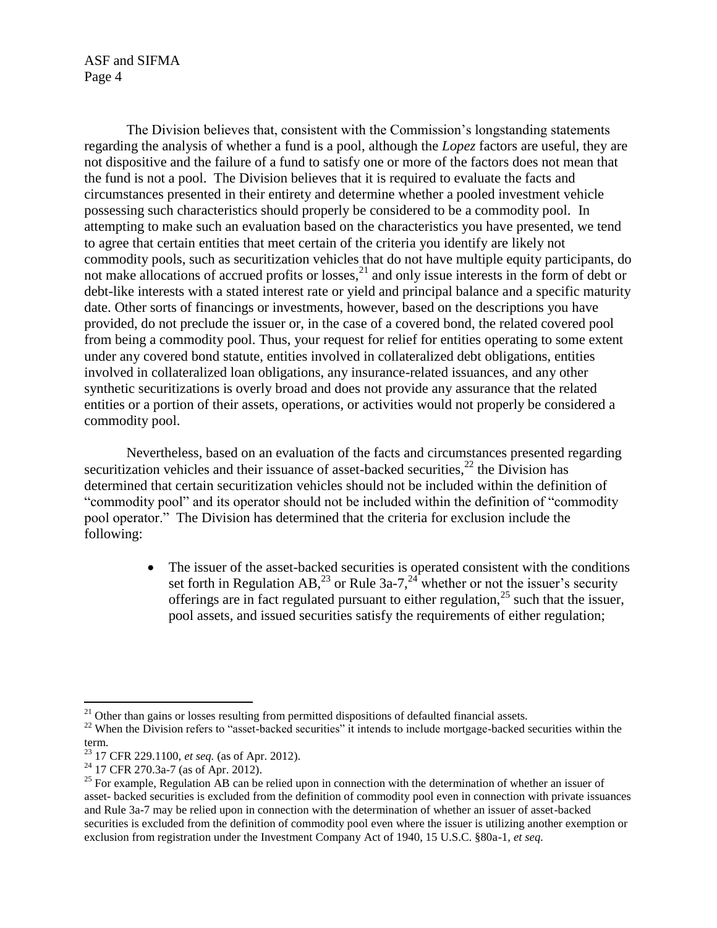The Division believes that, consistent with the Commission's longstanding statements regarding the analysis of whether a fund is a pool, although the *Lopez* factors are useful, they are not dispositive and the failure of a fund to satisfy one or more of the factors does not mean that the fund is not a pool. The Division believes that it is required to evaluate the facts and circumstances presented in their entirety and determine whether a pooled investment vehicle possessing such characteristics should properly be considered to be a commodity pool. In attempting to make such an evaluation based on the characteristics you have presented, we tend to agree that certain entities that meet certain of the criteria you identify are likely not commodity pools, such as securitization vehicles that do not have multiple equity participants, do not make allocations of accrued profits or losses, <sup>21</sup> and only issue interests in the form of debt or debt-like interests with a stated interest rate or yield and principal balance and a specific maturity date. Other sorts of financings or investments, however, based on the descriptions you have provided, do not preclude the issuer or, in the case of a covered bond, the related covered pool from being a commodity pool. Thus, your request for relief for entities operating to some extent under any covered bond statute, entities involved in collateralized debt obligations, entities involved in collateralized loan obligations, any insurance-related issuances, and any other synthetic securitizations is overly broad and does not provide any assurance that the related entities or a portion of their assets, operations, or activities would not properly be considered a commodity pool.

Nevertheless, based on an evaluation of the facts and circumstances presented regarding securitization vehicles and their issuance of asset-backed securities,  $^{22}$  the Division has determined that certain securitization vehicles should not be included within the definition of "commodity pool" and its operator should not be included within the definition of "commodity pool operator." The Division has determined that the criteria for exclusion include the following:

> • The issuer of the asset-backed securities is operated consistent with the conditions set forth in Regulation AB,<sup>23</sup> or Rule 3a-7,<sup>24</sup> whether or not the issuer's security offerings are in fact regulated pursuant to either regulation,  $25$  such that the issuer, pool assets, and issued securities satisfy the requirements of either regulation;

 $\overline{a}$ 

 $21$  Other than gains or losses resulting from permitted dispositions of defaulted financial assets.

<sup>&</sup>lt;sup>22</sup> When the Division refers to "asset-backed securities" it intends to include mortgage-backed securities within the term.

<sup>23</sup> 17 CFR 229.1100, *et seq.* (as of Apr. 2012).

 $^{24}$  17 CFR 270.3a-7 (as of Apr. 2012).

<sup>&</sup>lt;sup>25</sup> For example, Regulation AB can be relied upon in connection with the determination of whether an issuer of asset- backed securities is excluded from the definition of commodity pool even in connection with private issuances and Rule 3a-7 may be relied upon in connection with the determination of whether an issuer of asset-backed securities is excluded from the definition of commodity pool even where the issuer is utilizing another exemption or exclusion from registration under the Investment Company Act of 1940, 15 U.S.C. §80a-1, *et seq.*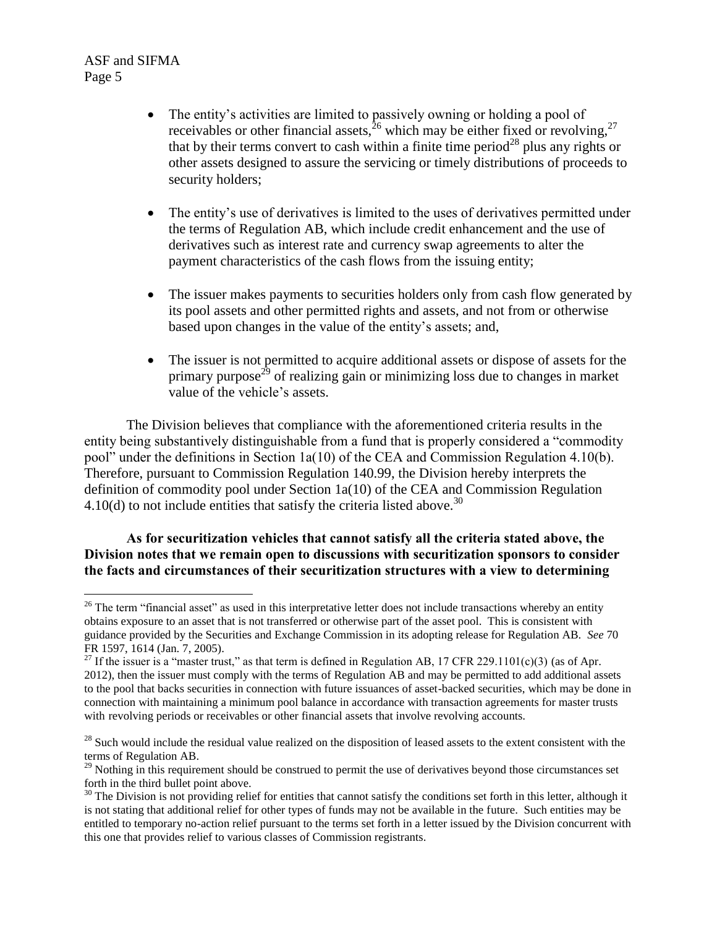- The entity's activities are limited to passively owning or holding a pool of receivables or other financial assets,<sup>26</sup> which may be either fixed or revolving,<sup>27</sup> that by their terms convert to cash within a finite time period<sup>28</sup> plus any rights or other assets designed to assure the servicing or timely distributions of proceeds to security holders;
- The entity's use of derivatives is limited to the uses of derivatives permitted under the terms of Regulation AB, which include credit enhancement and the use of derivatives such as interest rate and currency swap agreements to alter the payment characteristics of the cash flows from the issuing entity;
- The issuer makes payments to securities holders only from cash flow generated by its pool assets and other permitted rights and assets, and not from or otherwise based upon changes in the value of the entity's assets; and,
- The issuer is not permitted to acquire additional assets or dispose of assets for the primary purpose<sup>29</sup> of realizing gain or minimizing loss due to changes in market value of the vehicle's assets.

The Division believes that compliance with the aforementioned criteria results in the entity being substantively distinguishable from a fund that is properly considered a "commodity pool" under the definitions in Section 1a(10) of the CEA and Commission Regulation 4.10(b). Therefore, pursuant to Commission Regulation 140.99, the Division hereby interprets the definition of commodity pool under Section 1a(10) of the CEA and Commission Regulation 4.10(d) to not include entities that satisfy the criteria listed above.<sup>30</sup>

### **As for securitization vehicles that cannot satisfy all the criteria stated above, the Division notes that we remain open to discussions with securitization sponsors to consider the facts and circumstances of their securitization structures with a view to determining**

 $\overline{a}$  $26$  The term "financial asset" as used in this interpretative letter does not include transactions whereby an entity obtains exposure to an asset that is not transferred or otherwise part of the asset pool. This is consistent with guidance provided by the Securities and Exchange Commission in its adopting release for Regulation AB. *See* 70 FR 1597, 1614 (Jan. 7, 2005).

<sup>&</sup>lt;sup>27</sup> If the issuer is a "master trust," as that term is defined in Regulation AB, 17 CFR 229.1101(c)(3) (as of Apr. 2012), then the issuer must comply with the terms of Regulation AB and may be permitted to add additional assets to the pool that backs securities in connection with future issuances of asset-backed securities, which may be done in connection with maintaining a minimum pool balance in accordance with transaction agreements for master trusts with revolving periods or receivables or other financial assets that involve revolving accounts.

 $28$  Such would include the residual value realized on the disposition of leased assets to the extent consistent with the terms of Regulation AB.

<sup>&</sup>lt;sup>29</sup> Nothing in this requirement should be construed to permit the use of derivatives beyond those circumstances set forth in the third bullet point above.

 $30$  The Division is not providing relief for entities that cannot satisfy the conditions set forth in this letter, although it is not stating that additional relief for other types of funds may not be available in the future. Such entities may be entitled to temporary no-action relief pursuant to the terms set forth in a letter issued by the Division concurrent with this one that provides relief to various classes of Commission registrants.